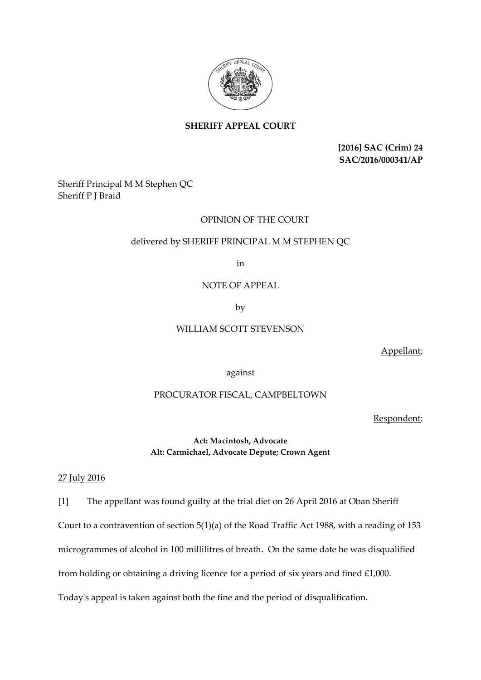

## **SHERIFF APPEAL COURT**

**[2016] SAC (Crim) 24 SAC/2016/000341/AP**

## Sheriff Principal M M Stephen QC Sheriff P J Braid

### OPINION OF THE COURT

### delivered by SHERIFF PRINCIPAL M M STEPHEN QC

in

## NOTE OF APPEAL

by

### WILLIAM SCOTT STEVENSON

Appellant;

against

# PROCURATOR FISCAL, CAMPBELTOWN

Respondent:

**Act: Macintosh, Advocate Alt: Carmichael, Advocate Depute; Crown Agent**

#### 27 July 2016

[1] The appellant was found guilty at the trial diet on 26 April 2016 at Oban Sheriff

Court to a contravention of section 5(1)(a) of the Road Traffic Act 1988, with a reading of 153

microgrammes of alcohol in 100 millilitres of breath. On the same date he was disqualified

from holding or obtaining a driving licence for a period of six years and fined £1,000.

Today's appeal is taken against both the fine and the period of disqualification.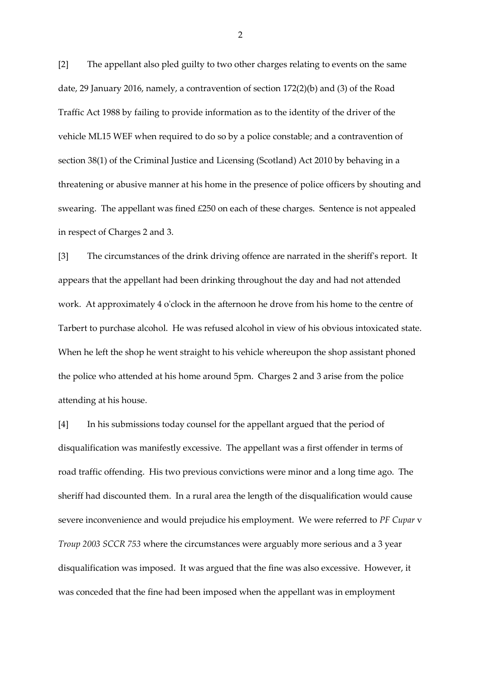[2] The appellant also pled guilty to two other charges relating to events on the same date, 29 January 2016, namely, a contravention of section 172(2)(b) and (3) of the Road Traffic Act 1988 by failing to provide information as to the identity of the driver of the vehicle ML15 WEF when required to do so by a police constable; and a contravention of section 38(1) of the Criminal Justice and Licensing (Scotland) Act 2010 by behaving in a threatening or abusive manner at his home in the presence of police officers by shouting and swearing. The appellant was fined £250 on each of these charges. Sentence is not appealed in respect of Charges 2 and 3.

[3] The circumstances of the drink driving offence are narrated in the sheriff's report. It appears that the appellant had been drinking throughout the day and had not attended work. At approximately 4 o'clock in the afternoon he drove from his home to the centre of Tarbert to purchase alcohol. He was refused alcohol in view of his obvious intoxicated state. When he left the shop he went straight to his vehicle whereupon the shop assistant phoned the police who attended at his home around 5pm. Charges 2 and 3 arise from the police attending at his house.

[4] In his submissions today counsel for the appellant argued that the period of disqualification was manifestly excessive. The appellant was a first offender in terms of road traffic offending. His two previous convictions were minor and a long time ago. The sheriff had discounted them. In a rural area the length of the disqualification would cause severe inconvenience and would prejudice his employment. We were referred to *PF Cupar* v *Troup 2003 SCCR 753* where the circumstances were arguably more serious and a 3 year disqualification was imposed. It was argued that the fine was also excessive. However, it was conceded that the fine had been imposed when the appellant was in employment

2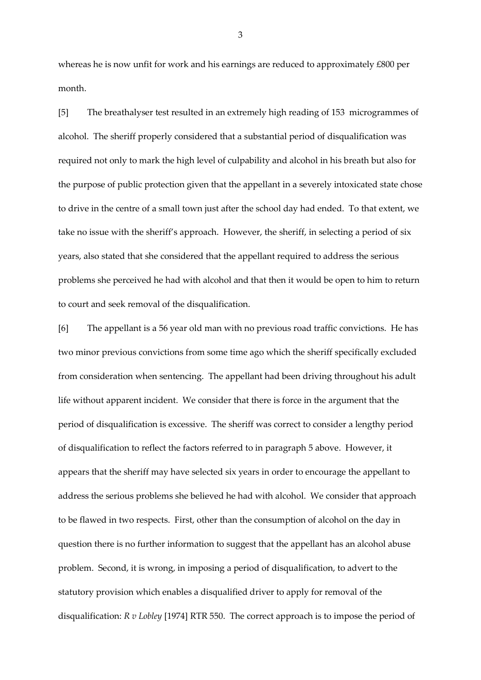whereas he is now unfit for work and his earnings are reduced to approximately £800 per month.

[5] The breathalyser test resulted in an extremely high reading of 153 microgrammes of alcohol. The sheriff properly considered that a substantial period of disqualification was required not only to mark the high level of culpability and alcohol in his breath but also for the purpose of public protection given that the appellant in a severely intoxicated state chose to drive in the centre of a small town just after the school day had ended. To that extent, we take no issue with the sheriff's approach. However, the sheriff, in selecting a period of six years, also stated that she considered that the appellant required to address the serious problems she perceived he had with alcohol and that then it would be open to him to return to court and seek removal of the disqualification.

[6] The appellant is a 56 year old man with no previous road traffic convictions. He has two minor previous convictions from some time ago which the sheriff specifically excluded from consideration when sentencing. The appellant had been driving throughout his adult life without apparent incident. We consider that there is force in the argument that the period of disqualification is excessive. The sheriff was correct to consider a lengthy period of disqualification to reflect the factors referred to in paragraph 5 above. However, it appears that the sheriff may have selected six years in order to encourage the appellant to address the serious problems she believed he had with alcohol. We consider that approach to be flawed in two respects. First, other than the consumption of alcohol on the day in question there is no further information to suggest that the appellant has an alcohol abuse problem. Second, it is wrong, in imposing a period of disqualification, to advert to the statutory provision which enables a disqualified driver to apply for removal of the disqualification: *R v Lobley* [1974] RTR 550. The correct approach is to impose the period of

3